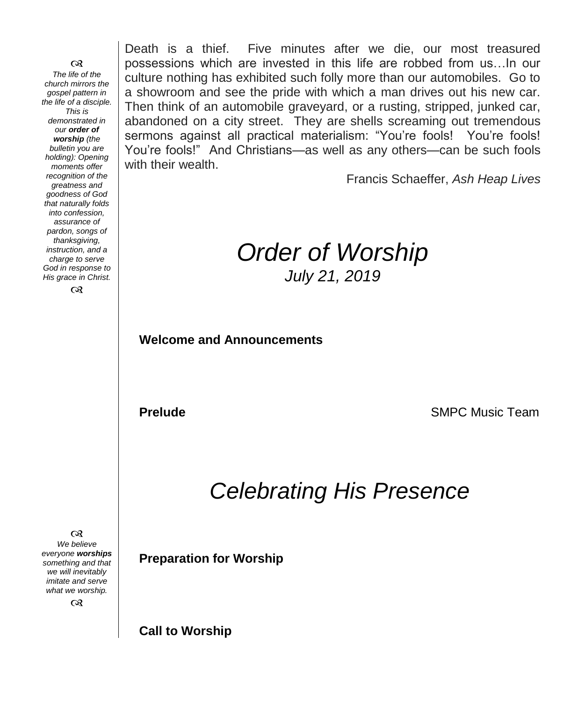೧೪ *The life of the church mirrors the gospel pattern in the life of a disciple. This is demonstrated in our order of worship (the bulletin you are holding): Opening moments offer recognition of the greatness and goodness of God that naturally folds into confession, assurance of pardon, songs of thanksgiving, instruction, and a charge to serve God in response to His grace in Christ.*

 $\infty$ 

Death is a thief. Five minutes after we die, our most treasured possessions which are invested in this life are robbed from us…In our culture nothing has exhibited such folly more than our automobiles. Go to a showroom and see the pride with which a man drives out his new car. Then think of an automobile graveyard, or a rusting, stripped, junked car, abandoned on a city street. They are shells screaming out tremendous sermons against all practical materialism: "You're fools! You're fools! You're fools!" And Christians—as well as any others—can be such fools with their wealth.

Francis Schaeffer, *Ash Heap Lives*

# *Order of Worship July 21, 2019*

**Welcome and Announcements** 

**Prelude SMPC** Music Team

# *Celebrating His Presence*

 $\infty$ *We believe everyone worships something and that we will inevitably imitate and serve what we worship.*

 $\infty$ 

**Preparation for Worship**

**Call to Worship**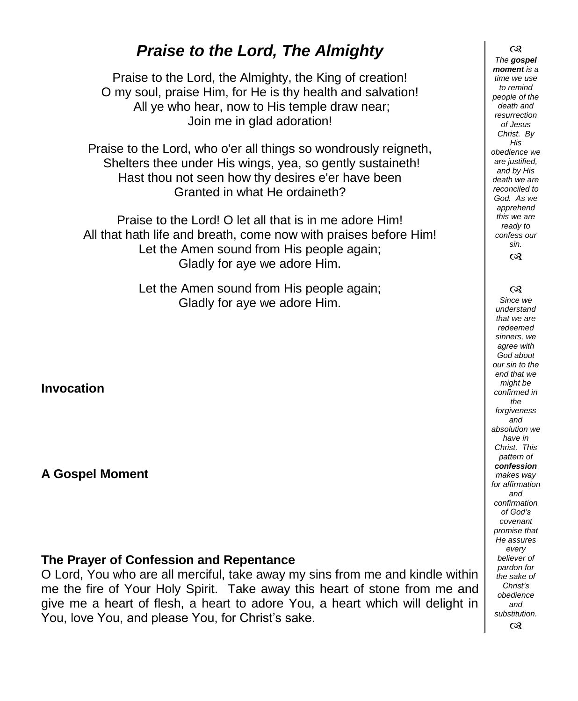# *Praise to the Lord, The Almighty*

Praise to the Lord, the Almighty, the King of creation! O my soul, praise Him, for He is thy health and salvation! All ye who hear, now to His temple draw near; Join me in glad adoration!

Praise to the Lord, who o'er all things so wondrously reigneth, Shelters thee under His wings, yea, so gently sustaineth! Hast thou not seen how thy desires e'er have been Granted in what He ordaineth?

Praise to the Lord! O let all that is in me adore Him! All that hath life and breath, come now with praises before Him! Let the Amen sound from His people again; Gladly for aye we adore Him.

> Let the Amen sound from His people again; Gladly for aye we adore Him.

**Invocation**

**A Gospel Moment** 

#### **The Prayer of Confession and Repentance**

O Lord, You who are all merciful, take away my sins from me and kindle within me the fire of Your Holy Spirit. Take away this heart of stone from me and give me a heart of flesh, a heart to adore You, a heart which will delight in You, love You, and please You, for Christ's sake.

 $\infty$ *The gospel moment is a time we use to remind people of the death and resurrection of Jesus Christ. By His obedience we are justified, and by His death we are reconciled to God. As we apprehend this we are ready to confess our sin.*  $\infty$ 

 $\infty$ 

*Since we understand that we are redeemed sinners, we agree with God about our sin to the end that we might be confirmed in the forgiveness and absolution we have in Christ. This pattern of confession makes way for affirmation and confirmation of God's covenant promise that He assures every believer of pardon for the sake of Christ's obedience and substitution.*  $\alpha$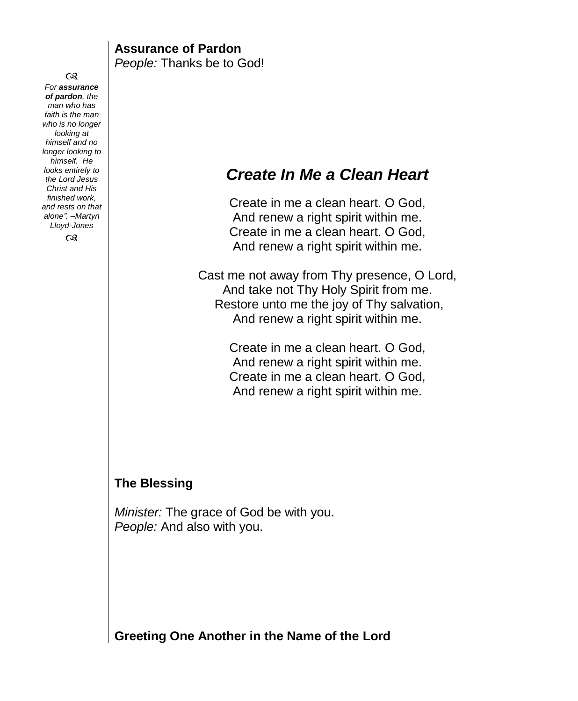$\infty$ *For assurance of pardon, the man who has faith is the man who is no longer looking at himself and no longer looking to himself. He looks entirely to the Lord Jesus Christ and His finished work, and rests on that alone". –Martyn Lloyd-Jones*  $\infty$ **Assurance of Pardon** *People:* Thanks be to God! *Create In Me a Clean Heart* Create in me a clean heart. O God, And renew a right spirit within me. Create in me a clean heart. O God, And renew a right spirit within me. Cast me not away from Thy presence, O Lord, And take not Thy Holy Spirit from me. Restore unto me the joy of Thy salvation, And renew a right spirit within me. Create in me a clean heart. O God, And renew a right spirit within me. Create in me a clean heart. O God, And renew a right spirit within me. **The Blessing** *Minister:* The grace of God be with you. *People:* And also with you.

**Greeting One Another in the Name of the Lord**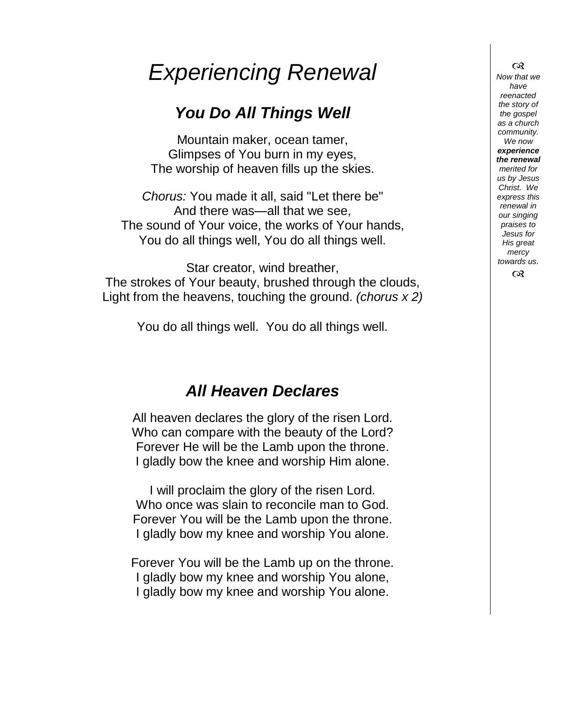# *Experiencing Renewal*

# *You Do All Things Well*

Mountain maker, ocean tamer, Glimpses of You burn in my eyes, The worship of heaven fills up the skies.

*Chorus:* You made it all, said "Let there be" And there was—all that we see, The sound of Your voice, the works of Your hands, You do all things well, You do all things well.

Star creator, wind breather, The strokes of Your beauty, brushed through the clouds, Light from the heavens, touching the ground. *(chorus x 2)*

You do all things well. You do all things well.

# *All Heaven Declares*

All heaven declares the glory of the risen Lord. Who can compare with the beauty of the Lord? Forever He will be the Lamb upon the throne. I gladly bow the knee and worship Him alone.

I will proclaim the glory of the risen Lord. Who once was slain to reconcile man to God. Forever You will be the Lamb upon the throne. I gladly bow my knee and worship You alone.

Forever You will be the Lamb up on the throne. I gladly bow my knee and worship You alone, I gladly bow my knee and worship You alone.

 $\infty$ *Now that we have reenacted the story of the gospel as a church community. We now experience the renewal merited for us by Jesus Christ. We express this renewal in our singing praises to Jesus for His great mercy towards us.*  $\infty$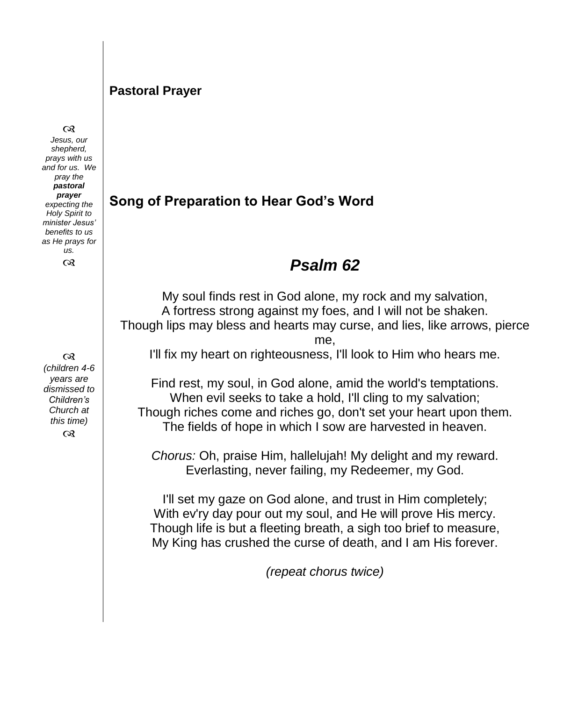#### **Pastoral Prayer**

#### $\infty$

*Jesus, our shepherd, prays with us and for us. We pray the pastoral prayer expecting the Holy Spirit to minister Jesus' benefits to us as He prays for us.*  $\infty$ 

 $\infty$ *(children 4-6 years are dismissed to Children's Church at this time)*  $\infty$ 

### **Song of Preparation to Hear God's Word**

### *Psalm 62*

My soul finds rest in God alone, my rock and my salvation, A fortress strong against my foes, and I will not be shaken. Though lips may bless and hearts may curse, and lies, like arrows, pierce

me,

I'll fix my heart on righteousness, I'll look to Him who hears me.

Find rest, my soul, in God alone, amid the world's temptations. When evil seeks to take a hold, I'll cling to my salvation; Though riches come and riches go, don't set your heart upon them. The fields of hope in which I sow are harvested in heaven.

*Chorus:* Oh, praise Him, hallelujah! My delight and my reward. Everlasting, never failing, my Redeemer, my God.

I'll set my gaze on God alone, and trust in Him completely; With ev'ry day pour out my soul, and He will prove His mercy. Though life is but a fleeting breath, a sigh too brief to measure, My King has crushed the curse of death, and I am His forever.

*(repeat chorus twice)*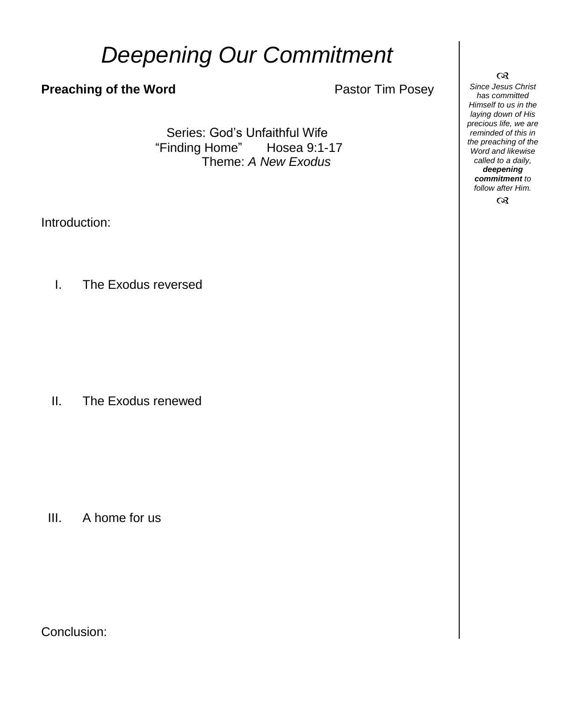# *Deepening Our Commitment*

#### **Preaching of the Word** Pastor Tim Posey

Series: God's Unfaithful Wife "Finding Home" Hosea 9:1-17 Theme: *A New Exodus*

Introduction:

I. The Exodus reversed

II. The Exodus renewed

III. A home for us

Conclusion:

 $\infty$ *Since Jesus Christ has committed Himself to us in the laying down of His precious life, we are reminded of this in the preaching of the Word and likewise called to a daily, deepening commitment to follow after Him.*  $\infty$